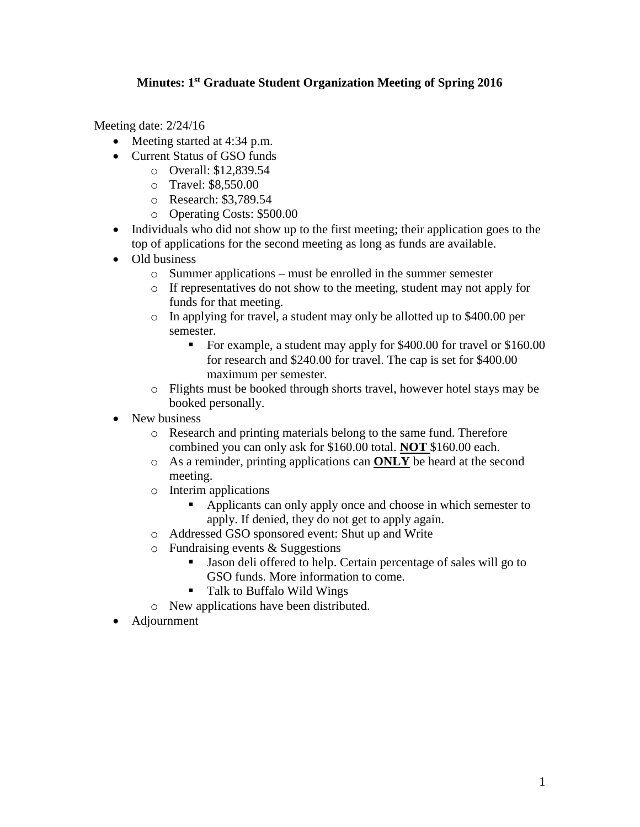## **Minutes: 1st Graduate Student Organization Meeting of Spring 2016**

Meeting date: 2/24/16

- Meeting started at 4:34 p.m.
- Current Status of GSO funds
	- o Overall: \$12,839.54
	- o Travel: \$8,550.00
	- o Research: \$3,789.54
	- o Operating Costs: \$500.00
- Individuals who did not show up to the first meeting; their application goes to the top of applications for the second meeting as long as funds are available.
- Old business
	- o Summer applications must be enrolled in the summer semester
	- o If representatives do not show to the meeting, student may not apply for funds for that meeting.
	- o In applying for travel, a student may only be allotted up to \$400.00 per semester.
		- For example, a student may apply for \$400.00 for travel or \$160.00 for research and \$240.00 for travel. The cap is set for \$400.00 maximum per semester.
	- o Flights must be booked through shorts travel, however hotel stays may be booked personally.
- New business
	- o Research and printing materials belong to the same fund. Therefore combined you can only ask for \$160.00 total. **NOT** \$160.00 each.
	- o As a reminder, printing applications can **ONLY** be heard at the second meeting.
	- o Interim applications
		- Applicants can only apply once and choose in which semester to apply. If denied, they do not get to apply again.
	- o Addressed GSO sponsored event: Shut up and Write
	- $\circ$  Fundraising events & Suggestions
		- Jason deli offered to help. Certain percentage of sales will go to GSO funds. More information to come.
		- Talk to Buffalo Wild Wings
	- o New applications have been distributed.
- Adjournment